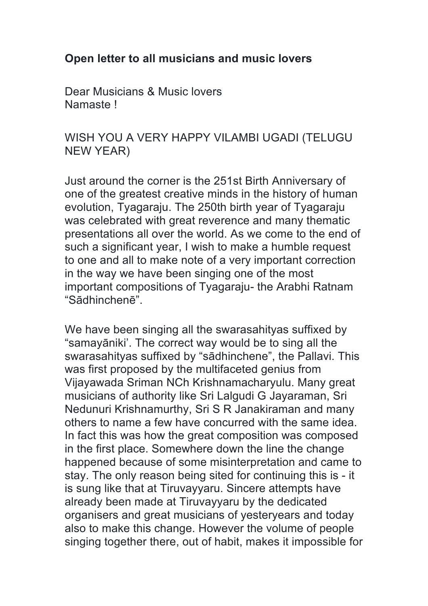## **Open letter to all musicians and music lovers**

Dear Musicians & Music lovers Namaste !

## WISH YOU A VERY HAPPY VILAMBI UGADI (TELUGU NEW YEAR)

Just around the corner is the 251st Birth Anniversary of one of the greatest creative minds in the history of human evolution, Tyagaraju. The 250th birth year of Tyagaraju was celebrated with great reverence and many thematic presentations all over the world. As we come to the end of such a significant year, I wish to make a humble request to one and all to make note of a very important correction in the way we have been singing one of the most important compositions of Tyagaraju- the Arabhi Ratnam "Sādhinchenē".

We have been singing all the swarasahityas suffixed by "samayāniki'. The correct way would be to sing all the swarasahityas suffixed by "sādhinchene", the Pallavi. This was first proposed by the multifaceted genius from Vijayawada Sriman NCh Krishnamacharyulu. Many great musicians of authority like Sri Lalgudi G Jayaraman, Sri Nedunuri Krishnamurthy, Sri S R Janakiraman and many others to name a few have concurred with the same idea. In fact this was how the great composition was composed in the first place. Somewhere down the line the change happened because of some misinterpretation and came to stay. The only reason being sited for continuing this is - it is sung like that at Tiruvayyaru. Sincere attempts have already been made at Tiruvayyaru by the dedicated organisers and great musicians of yesteryears and today also to make this change. However the volume of people singing together there, out of habit, makes it impossible for